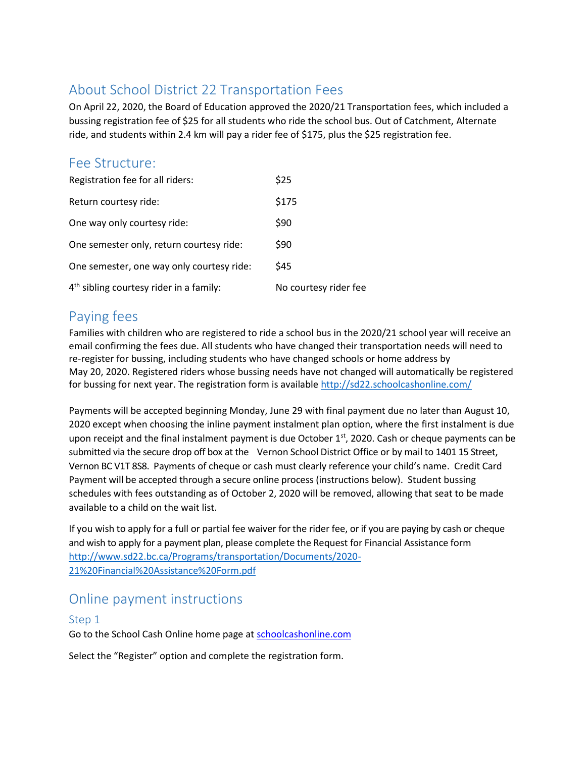# About School District 22 Transportation Fees

On April 22, 2020, the Board of Education approved the 2020/21 Transportation fees, which included a bussing registration fee of \$25 for all students who ride the school bus. Out of Catchment, Alternate ride, and students within 2.4 km will pay a rider fee of \$175, plus the \$25 registration fee.

### Fee Structure:

| Registration fee for all riders:                    | \$25                  |
|-----------------------------------------------------|-----------------------|
| Return courtesy ride:                               | \$175                 |
| One way only courtesy ride:                         | \$90                  |
| One semester only, return courtesy ride:            | \$90                  |
| One semester, one way only courtesy ride:           | <b>S45</b>            |
| 4 <sup>th</sup> sibling courtesy rider in a family: | No courtesy rider fee |

## Paying fees

Families with children who are registered to ride a school bus in the 2020/21 school year will receive an email confirming the fees due. All students who have changed their transportation needs will need to re-register for bussing, including students who have changed schools or home address by May 20, 2020. Registered riders whose bussing needs have not changed will automatically be registered for bussing for next year. The registration form is available<http://sd22.schoolcashonline.com/>

Payments will be accepted beginning Monday, June 29 with final payment due no later than August 10, 2020 except when choosing the inline payment instalment plan option, where the first instalment is due upon receipt and the final instalment payment is due October  $1<sup>st</sup>$ , 2020. Cash or cheque payments can be submitted via the secure drop off box at the Vernon School District Office or by mail to 1401 15 Street, Vernon BC V1T 8S8. Payments of cheque or cash must clearly reference your child's name. Credit Card Payment will be accepted through a secure online process (instructions below). Student bussing schedules with fees outstanding as of October 2, 2020 will be removed, allowing that seat to be made available to a child on the wait list.

If you wish to apply for a full or partial fee waiver for the rider fee, or if you are paying by cash or cheque and wish to apply for a payment plan, please complete the Request for Financial Assistance form [http://www.sd22.bc.ca/Programs/transportation/Documents/2020-](http://www.sd22.bc.ca/Programs/transportation/Documents/2020-21%20Financial%20Assistance%20Form.pdf) [21%20Financial%20Assistance%20Form.pdf](http://www.sd22.bc.ca/Programs/transportation/Documents/2020-21%20Financial%20Assistance%20Form.pdf)

## Online payment instructions

#### Step 1

Go to the School Cash Online home page at **schoolcashonline.com** 

Select the "Register" option and complete the registration form.